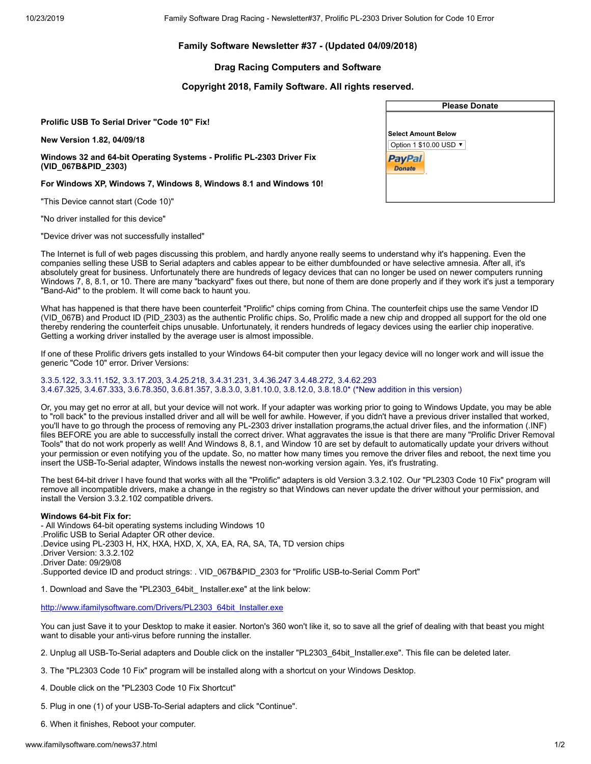# **Family Software Newsletter #37 - (Updated 04/09/2018)**

## **Drag Racing Computers and Software**

## **Copyright 2018, Family Software. All rights reserved.**

<span id="page-0-0"></span>**Prolific USB To Serial Driver "Code 10" Fix!**

**New Version 1.82, 04/09/18**

**Windows 32 and 64-bit Operating Systems - Prolific PL-2303 Driver Fix (VID\_067B&PID\_2303)**

**For Windows XP, Windows 7, Windows 8, Windows 8.1 and Windows 10!**

"This Device cannot start (Code 10)"

"No driver installed for this device"

"Device driver was not successfully installed"

The Internet is full of web pages discussing this problem, and hardly anyone really seems to understand why it's happening. Even the companies selling these USB to Serial adapters and cables appear to be either dumbfounded or have selective amnesia. After all, it's absolutely great for business. Unfortunately there are hundreds of legacy devices that can no longer be used on newer computers running Windows 7, 8, 8.1, or 10. There are many "backyard" fixes out there, but none of them are done properly and if they work it's just a temporary "Band-Aid" to the problem. It will come back to haunt you.

What has happened is that there have been counterfeit "Prolific" chips coming from China. The counterfeit chips use the same Vendor ID (VID\_067B) and Product ID (PID\_2303) as the authentic Prolific chips. So, Prolific made a new chip and dropped all support for the old one thereby rendering the counterfeit chips unusable. Unfortunately, it renders hundreds of legacy devices using the earlier chip inoperative. Getting a working driver installed by the average user is almost impossible.

If one of these Prolific drivers gets installed to your Windows 64-bit computer then your legacy device will no longer work and will issue the generic "Code 10" error. Driver Versions:

### 3.3.5.122, 3.3.11.152, 3.3.17.203, 3.4.25.218, 3.4.31.231, 3.4.36.247 3.4.48.272, 3.4.62.293 3.4.67.325, 3.4.67.333, 3.6.78.350, 3.6.81.357, 3.8.3.0, 3.81.10.0, 3.8.12.0, 3.8.18.0\* (\*New addition in this version)

Or, you may get no error at all, but your device will not work. If your adapter was working prior to going to Windows Update, you may be able to "roll back" to the previous installed driver and all will be well for awhile. However, if you didn't have a previous driver installed that worked, you'll have to go through the process of removing any PL-2303 driver installation programs,the actual driver files, and the information (.INF) files BEFORE you are able to successfully install the correct driver. What aggravates the issue is that there are many "Prolific Driver Removal Tools" that do not work properly as well! And Windows 8, 8.1, and Window 10 are set by default to automatically update your drivers without your permission or even notifying you of the update. So, no matter how many times you remove the driver files and reboot, the next time you insert the USB-To-Serial adapter, Windows installs the newest non-working version again. Yes, it's frustrating.

The best 64-bit driver I have found that works with all the "Prolific" adapters is old Version 3.3.2.102. Our "PL2303 Code 10 Fix" program will remove all incompatible drivers, make a change in the registry so that Windows can never update the driver without your permission, and install the Version 3.3.2.102 compatible drivers.

**Windows 64-bit Fix for:** - All Windows 64-bit operating systems including Windows 10 .Prolific USB to Serial Adapter OR other device. .Device using PL-2303 H, HX, HXA, HXD, X, XA, EA, RA, SA, TA, TD version chips .Driver Version: 3.3.2.102 .Driver Date: 09/29/08 .Supported device ID and product strings: . VID\_067B&PID\_2303 for "Prolific USB-to-Serial Comm Port"

1. Download and Save the "PL2303\_64bit\_ Installer.exe" at the link below:

[http://www.ifamilysoftware.com/Drivers/PL2303\\_64bit\\_Installer.exe](http://www.ifamilysoftware.com/Drivers/PL2303_64bit_Installer.exe)

You can just Save it to your Desktop to make it easier. Norton's 360 won't like it, so to save all the grief of dealing with that beast you might want to disable your anti-virus before running the installer.

2. Unplug all USB-To-Serial adapters and Double click on the installer "PL2303\_64bit\_Installer.exe". This file can be deleted later.

- 3. The "PL2303 Code 10 Fix" program will be installed along with a shortcut on your Windows Desktop.
- 4. Double click on the "PL2303 Code 10 Fix Shortcut"
- 5. Plug in one (1) of your USB-To-Serial adapters and click "Continue".
- 6. When it finishes, Reboot your computer.

| Please Donate                  |
|--------------------------------|
| Select Amount Below            |
|                                |
| Option 1 \$10.00 USD ▼         |
| <b>PayPal</b><br><b>Donate</b> |
|                                |
|                                |

**Please Donate**

**Sele**